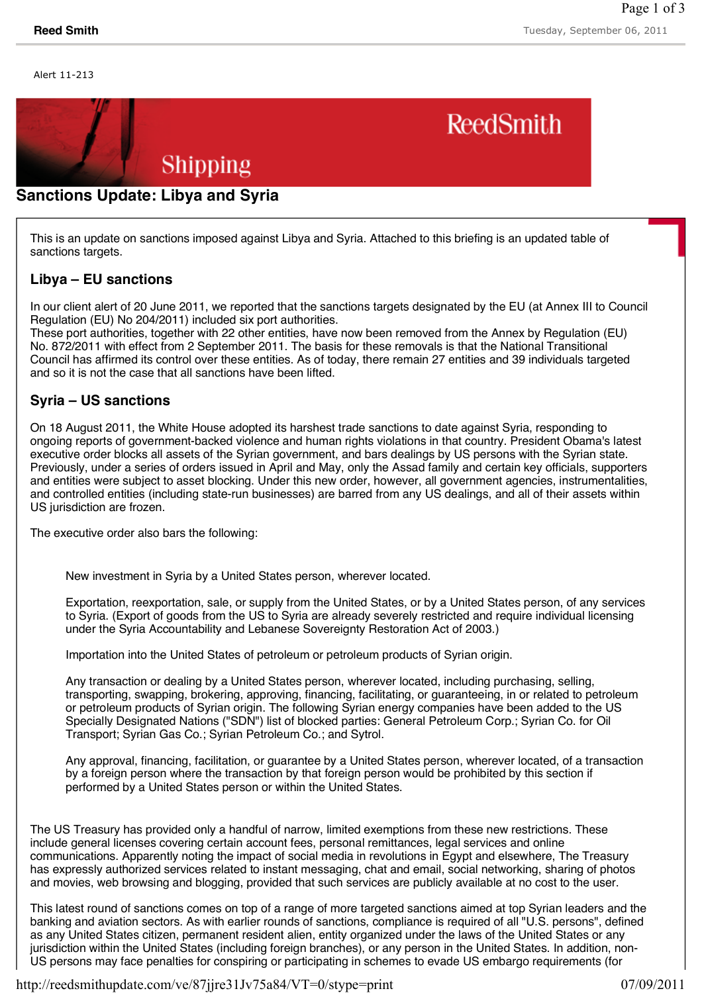Alert 11-213



## **Sanctions Update: Libya and Syria**

This is an update on sanctions imposed against Libya and Syria. Attached to this briefing is an updated table of sanctions targets.

## **Libya – EU sanctions**

In our client alert of 20 June 2011, we reported that the sanctions targets designated by the EU (at Annex III to Council Regulation (EU) No 204/2011) included six port authorities.

These port authorities, together with 22 other entities, have now been removed from the Annex by Regulation (EU) No. 872/2011 with effect from 2 September 2011. The basis for these removals is that the National Transitional Council has affirmed its control over these entities. As of today, there remain 27 entities and 39 individuals targeted and so it is not the case that all sanctions have been lifted.

## **Syria – US sanctions**

On 18 August 2011, the White House adopted its harshest trade sanctions to date against Syria, responding to ongoing reports of government-backed violence and human rights violations in that country. President Obama's latest executive order blocks all assets of the Syrian government, and bars dealings by US persons with the Syrian state. Previously, under a series of orders issued in April and May, only the Assad family and certain key officials, supporters and entities were subject to asset blocking. Under this new order, however, all government agencies, instrumentalities, and controlled entities (including state-run businesses) are barred from any US dealings, and all of their assets within US jurisdiction are frozen.

The executive order also bars the following:

New investment in Syria by a United States person, wherever located.

Exportation, reexportation, sale, or supply from the United States, or by a United States person, of any services to Syria. (Export of goods from the US to Syria are already severely restricted and require individual licensing under the Syria Accountability and Lebanese Sovereignty Restoration Act of 2003.)

Importation into the United States of petroleum or petroleum products of Syrian origin.

Any transaction or dealing by a United States person, wherever located, including purchasing, selling, transporting, swapping, brokering, approving, financing, facilitating, or guaranteeing, in or related to petroleum or petroleum products of Syrian origin. The following Syrian energy companies have been added to the US Specially Designated Nations ("SDN") list of blocked parties: General Petroleum Corp.; Syrian Co. for Oil Transport; Syrian Gas Co.; Syrian Petroleum Co.; and Sytrol.

Any approval, financing, facilitation, or guarantee by a United States person, wherever located, of a transaction by a foreign person where the transaction by that foreign person would be prohibited by this section if performed by a United States person or within the United States.

The US Treasury has provided only a handful of narrow, limited exemptions from these new restrictions. These include general licenses covering certain account fees, personal remittances, legal services and online communications. Apparently noting the impact of social media in revolutions in Egypt and elsewhere, The Treasury has expressly authorized services related to instant messaging, chat and email, social networking, sharing of photos and movies, web browsing and blogging, provided that such services are publicly available at no cost to the user.

This latest round of sanctions comes on top of a range of more targeted sanctions aimed at top Syrian leaders and the banking and aviation sectors. As with earlier rounds of sanctions, compliance is required of all "U.S. persons", defined as any United States citizen, permanent resident alien, entity organized under the laws of the United States or any jurisdiction within the United States (including foreign branches), or any person in the United States. In addition, non-US persons may face penalties for conspiring or participating in schemes to evade US embargo requirements (for

http://reedsmithupdate.com/ve/87jjre31Jv75a84/VT=0/stype=print 07/09/2011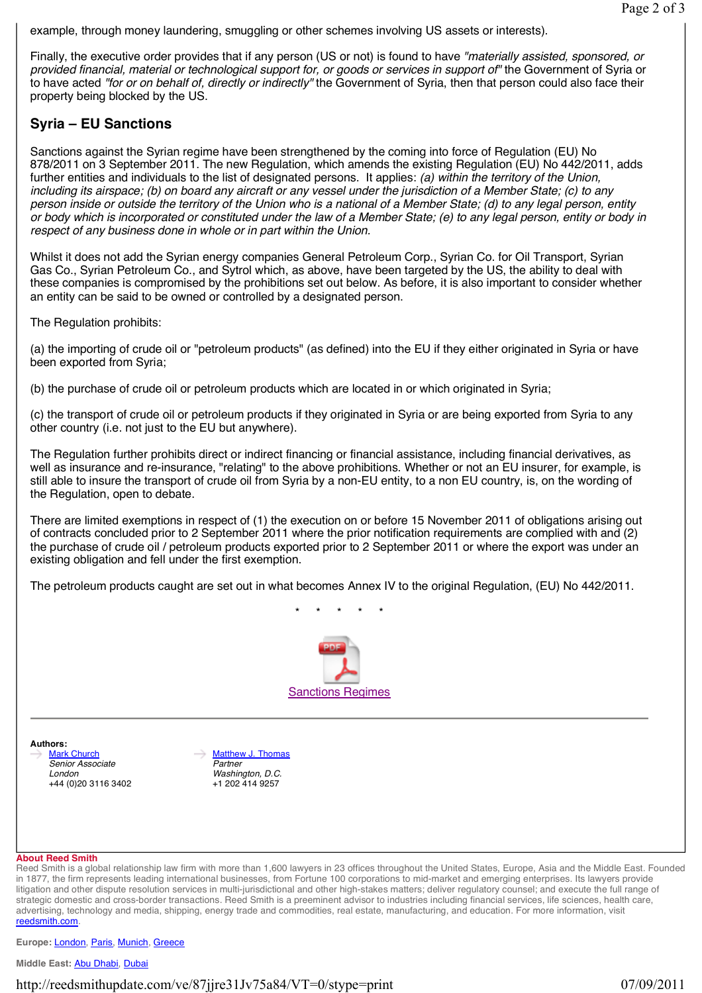example, through money laundering, smuggling or other schemes involving US assets or interests).

Finally, the executive order provides that if any person (US or not) is found to have *"materially assisted, sponsored, or provided financial, material or technological support for, or goods or services in support of"* the Government of Syria or to have acted *"for or on behalf of, directly or indirectly"* the Government of Syria, then that person could also face their property being blocked by the US.

# **Syria – EU Sanctions**

Sanctions against the Syrian regime have been strengthened by the coming into force of Regulation (EU) No 878/2011 on 3 September 2011. The new Regulation, which amends the existing Regulation (EU) No 442/2011, adds further entities and individuals to the list of designated persons. It applies: *(a) within the territory of the Union, including its airspace; (b) on board any aircraft or any vessel under the jurisdiction of a Member State; (c) to any person inside or outside the territory of the Union who is a national of a Member State; (d) to any legal person, entity or body which is incorporated or constituted under the law of a Member State; (e) to any legal person, entity or body in respect of any business done in whole or in part within the Union.*

Whilst it does not add the Syrian energy companies General Petroleum Corp., Syrian Co. for Oil Transport, Syrian Gas Co., Syrian Petroleum Co., and Sytrol which, as above, have been targeted by the US, the ability to deal with these companies is compromised by the prohibitions set out below. As before, it is also important to consider whether an entity can be said to be owned or controlled by a designated person.

The Regulation prohibits:

(a) the importing of crude oil or "petroleum products" (as defined) into the EU if they either originated in Syria or have been exported from Syria;

(b) the purchase of crude oil or petroleum products which are located in or which originated in Syria;

(c) the transport of crude oil or petroleum products if they originated in Syria or are being exported from Syria to any other country (i.e. not just to the EU but anywhere).

The Regulation further prohibits direct or indirect financing or financial assistance, including financial derivatives, as well as insurance and re-insurance, "relating" to the above prohibitions. Whether or not an EU insurer, for example, is still able to insure the transport of crude oil from Syria by a non-EU entity, to a non EU country, is, on the wording of the Regulation, open to debate.

There are limited exemptions in respect of (1) the execution on or before 15 November 2011 of obligations arising out of contracts concluded prior to 2 September 2011 where the prior notification requirements are complied with and (2) the purchase of crude oil / petroleum products exported prior to 2 September 2011 or where the export was under an existing obligation and fell under the first exemption.

The petroleum products caught are set out in what becomes Annex IV to the original Regulation, (EU) No 442/2011.



\* \* \* \* \*

**Authors: Mark Church** *Senior Associate London* +44 (0)20 3116 3402

**Matthew J. Thomas** *Partner Washington, D.C.* +1 202 414 9257

#### **About Reed Smith**

Reed Smith is a global relationship law firm with more than 1,600 lawyers in 23 offices throughout the United States, Europe, Asia and the Middle East. Founded in 1877, the firm represents leading international businesses, from Fortune 100 corporations to mid-market and emerging enterprises. Its lawyers provide litigation and other dispute resolution services in multi-jurisdictional and other high-stakes matters; deliver regulatory counsel; and execute the full range of strategic domestic and cross-border transactions. Reed Smith is a preeminent advisor to industries including financial services, life sciences, health care, advertising, technology and media, shipping, energy trade and commodities, real estate, manufacturing, and education. For more information, visit reedsmith.com.

**Europe:** London, Paris, Munich, Greece

**Middle East:** Abu Dhabi, Dubai

http://reedsmithupdate.com/ve/87jjre31Jv75a84/VT=0/stype=print 07/09/2011